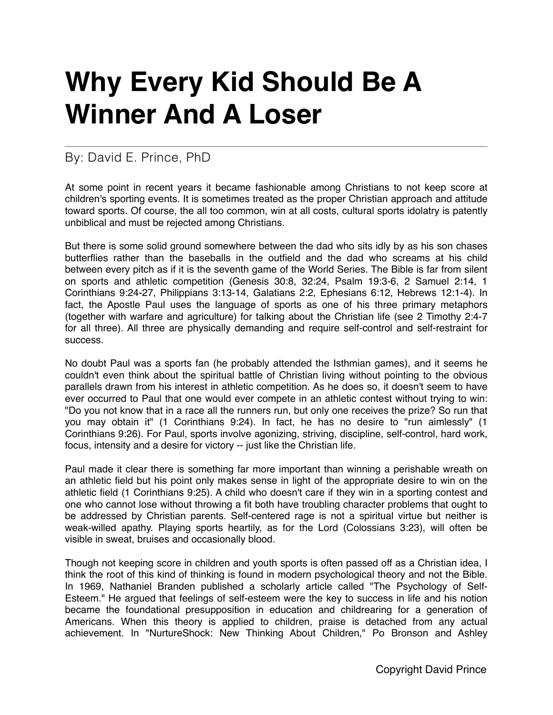## **Why Every Kid Should Be A Winner And A Loser**

## By: David E. Prince, PhD

At some point in recent years it became fashionable among Christians to not keep score at children's sporting events. It is sometimes treated as the proper Christian approach and attitude toward sports. Of course, the all too common, win at all costs, cultural sports idolatry is patently unbiblical and must be rejected among Christians.

But there is some solid ground somewhere between the dad who sits idly by as his son chases butterflies rather than the baseballs in the outfield and the dad who screams at his child between every pitch as if it is the seventh game of the World Series. The Bible is far from silent on sports and athletic competition (Genesis 30:8, 32:24, Psalm 19:3-6, 2 Samuel 2:14, 1 Corinthians 9:24-27, Philippians 3:13-14, Galatians 2:2, Ephesians 6:12, Hebrews 12:1-4). In fact, the Apostle Paul uses the language of sports as one of his three primary metaphors (together with warfare and agriculture) for talking about the Christian life (see 2 Timothy 2:4-7 for all three). All three are physically demanding and require self-control and self-restraint for success.

No doubt Paul was a sports fan (he probably attended the Isthmian games), and it seems he couldn't even think about the spiritual battle of Christian living without pointing to the obvious parallels drawn from his interest in athletic competition. As he does so, it doesn't seem to have ever occurred to Paul that one would ever compete in an athletic contest without trying to win: "Do you not know that in a race all the runners run, but only one receives the prize? So run that you may obtain it" (1 Corinthians 9:24). In fact, he has no desire to "run aimlessly" (1 Corinthians 9:26). For Paul, sports involve agonizing, striving, discipline, self-control, hard work, focus, intensity and a desire for victory -- just like the Christian life.

Paul made it clear there is something far more important than winning a perishable wreath on an athletic field but his point only makes sense in light of the appropriate desire to win on the athletic field (1 Corinthians 9:25). A child who doesn't care if they win in a sporting contest and one who cannot lose without throwing a fit both have troubling character problems that ought to be addressed by Christian parents. Self-centered rage is not a spiritual virtue but neither is weak-willed apathy. Playing sports heartily, as for the Lord (Colossians 3:23), will often be visible in sweat, bruises and occasionally blood.

Though not keeping score in children and youth sports is often passed off as a Christian idea, I think the root of this kind of thinking is found in modern psychological theory and not the Bible. In 1969, Nathaniel Branden published a scholarly article called "The Psychology of Self-Esteem." He argued that feelings of self-esteem were the key to success in life and his notion became the foundational presupposition in education and childrearing for a generation of Americans. When this theory is applied to children, praise is detached from any actual achievement. In "NurtureShock: New Thinking About Children," Po Bronson and Ashley